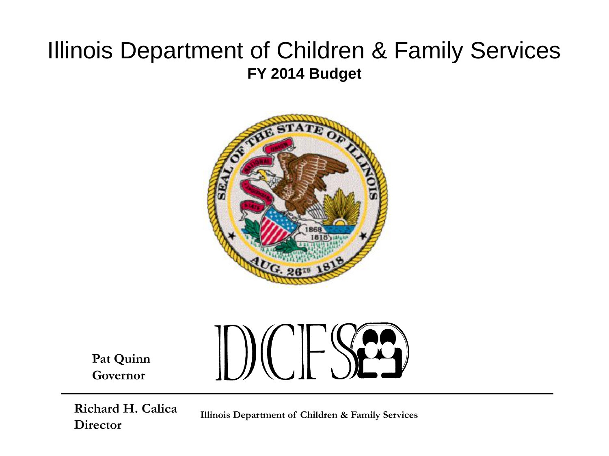## Illinois Department of Children & Family Services **FY 2014 Budget**



**Pat Quinn Governor**



**Director**

**Illinois Department of Children & Family Services**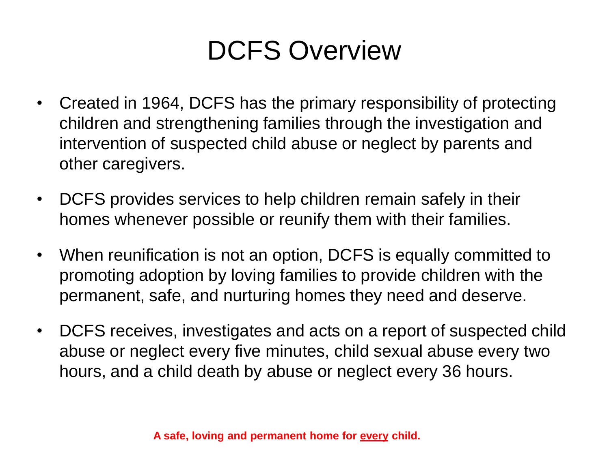# DCFS Overview

- Created in 1964, DCFS has the primary responsibility of protecting children and strengthening families through the investigation and intervention of suspected child abuse or neglect by parents and other caregivers.
- DCFS provides services to help children remain safely in their homes whenever possible or reunify them with their families.
- When reunification is not an option, DCFS is equally committed to promoting adoption by loving families to provide children with the permanent, safe, and nurturing homes they need and deserve.
- DCFS receives, investigates and acts on a report of suspected child abuse or neglect every five minutes, child sexual abuse every two hours, and a child death by abuse or neglect every 36 hours.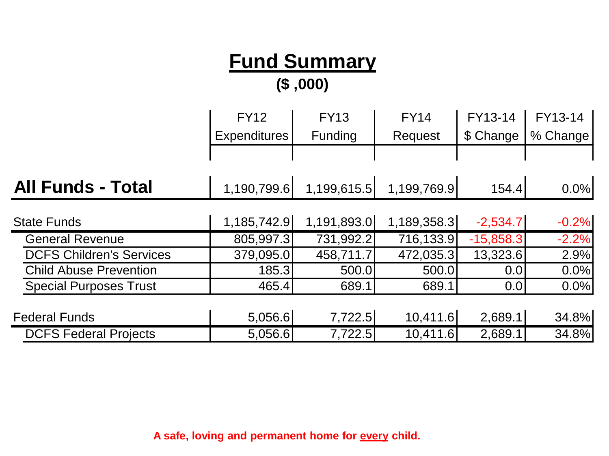## **Fund Summary**

**(\$ ,000)**

|                                 | <b>FY12</b>         | <b>FY13</b> | <b>FY14</b> | FY13-14     | FY13-14  |
|---------------------------------|---------------------|-------------|-------------|-------------|----------|
|                                 | <b>Expenditures</b> | Funding     | Request     | \$ Change   | % Change |
|                                 |                     |             |             |             |          |
| <b>All Funds - Total</b>        | 1,190,799.6         | 1,199,615.5 | 1,199,769.9 | 154.4       | 0.0%     |
| <b>State Funds</b>              | 1,185,742.9         | 1,191,893.0 | 1,189,358.3 | $-2,534.7$  | $-0.2%$  |
| <b>General Revenue</b>          | 805,997.3           | 731,992.2   | 716,133.9   | $-15,858.3$ | $-2.2%$  |
| <b>DCFS Children's Services</b> | 379,095.0           | 458,711.7   | 472,035.3   | 13,323.6    | 2.9%     |
| <b>Child Abuse Prevention</b>   | 185.3               | 500.0       | 500.0       | 0.0         | 0.0%     |
| <b>Special Purposes Trust</b>   | 465.4               | 689.1       | 689.1       | 0.0         | 0.0%     |
|                                 |                     |             |             |             |          |
| <b>Federal Funds</b>            | 5,056.6             | 7,722.5     | 10,411.6    | 2,689.1     | 34.8%    |
| <b>DCFS Federal Projects</b>    | 5,056.6             | 7,722.5     | 10,411.6    | 2,689.1     | 34.8%    |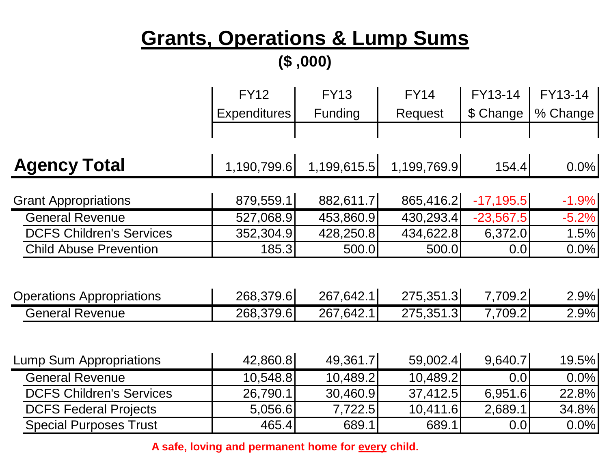# **Grants, Operations & Lump Sums**

|  | (0.00, 0.0) |
|--|-------------|
|--|-------------|

|                                  | <b>FY12</b>         | <b>FY13</b> | <b>FY14</b> | FY13-14     | FY13-14  |
|----------------------------------|---------------------|-------------|-------------|-------------|----------|
|                                  | <b>Expenditures</b> | Funding     | Request     | \$ Change   | % Change |
|                                  |                     |             |             |             |          |
| <b>Agency Total</b>              | 1,190,799.6         | 1,199,615.5 | 1,199,769.9 | 154.4       | 0.0%     |
|                                  |                     |             |             |             |          |
| <b>Grant Appropriations</b>      | 879,559.1           | 882,611.7   | 865,416.2   | $-17,195.5$ | $-1.9%$  |
| <b>General Revenue</b>           | 527,068.9           | 453,860.9   | 430,293.4   | $-23,567.5$ | $-5.2%$  |
| <b>DCFS Children's Services</b>  | 352,304.9           | 428,250.8   | 434,622.8   | 6,372.0     | 1.5%     |
| <b>Child Abuse Prevention</b>    | 185.3               | 500.0       | 500.0       | 0.0         | 0.0%     |
| <b>Operations Appropriations</b> | 268,379.6           | 267,642.1   | 275,351.3   | 7,709.2     | 2.9%     |
| <b>General Revenue</b>           | 268,379.6           | 267,642.1   | 275,351.3   | 7,709.2     | 2.9%     |
| <b>Lump Sum Appropriations</b>   | 42,860.8            | 49,361.7    | 59,002.4    | 9,640.7     | 19.5%    |
| <b>General Revenue</b>           | 10,548.8            | 10,489.2    | 10,489.2    | 0.0         | 0.0%     |
| <b>DCFS Children's Services</b>  | 26,790.1            | 30,460.9    | 37,412.5    | 6,951.6     | 22.8%    |
| <b>DCFS Federal Projects</b>     | 5,056.6             | 7,722.5     | 10,411.6    | 2,689.1     | 34.8%    |
| <b>Special Purposes Trust</b>    | 465.4               | 689.1       | 689.1       | 0.0         | 0.0%     |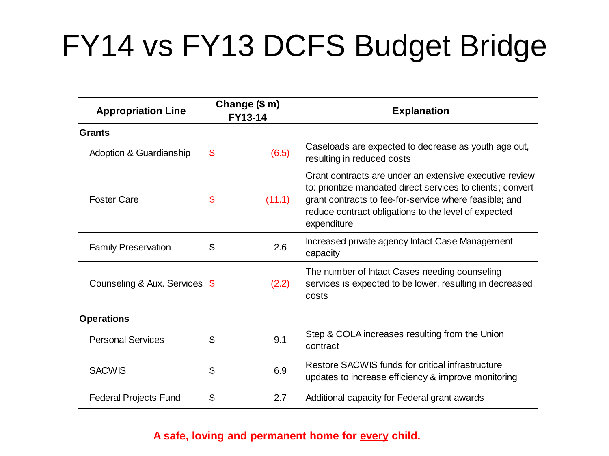# FY14 vs FY13 DCFS Budget Bridge

| <b>Appropriation Line</b>     | Change (\$ m)<br><b>FY13-14</b> |        | <b>Explanation</b>                                                                                                                                                                                                                                      |  |
|-------------------------------|---------------------------------|--------|---------------------------------------------------------------------------------------------------------------------------------------------------------------------------------------------------------------------------------------------------------|--|
| <b>Grants</b>                 |                                 |        |                                                                                                                                                                                                                                                         |  |
| Adoption & Guardianship       | \$                              | (6.5)  | Caseloads are expected to decrease as youth age out,<br>resulting in reduced costs                                                                                                                                                                      |  |
| <b>Foster Care</b>            | \$                              | (11.1) | Grant contracts are under an extensive executive review<br>to: prioritize mandated direct services to clients; convert<br>grant contracts to fee-for-service where feasible; and<br>reduce contract obligations to the level of expected<br>expenditure |  |
| <b>Family Preservation</b>    | \$                              | 2.6    | Increased private agency Intact Case Management<br>capacity                                                                                                                                                                                             |  |
| Counseling & Aux. Services \$ |                                 | (2.2)  | The number of Intact Cases needing counseling<br>services is expected to be lower, resulting in decreased<br>costs                                                                                                                                      |  |
| <b>Operations</b>             |                                 |        |                                                                                                                                                                                                                                                         |  |
| <b>Personal Services</b>      | \$.                             | 9.1    | Step & COLA increases resulting from the Union<br>contract                                                                                                                                                                                              |  |
| <b>SACWIS</b>                 | \$                              | 6.9    | Restore SACWIS funds for critical infrastructure<br>updates to increase efficiency & improve monitoring                                                                                                                                                 |  |
| <b>Federal Projects Fund</b>  | \$                              | 2.7    | Additional capacity for Federal grant awards                                                                                                                                                                                                            |  |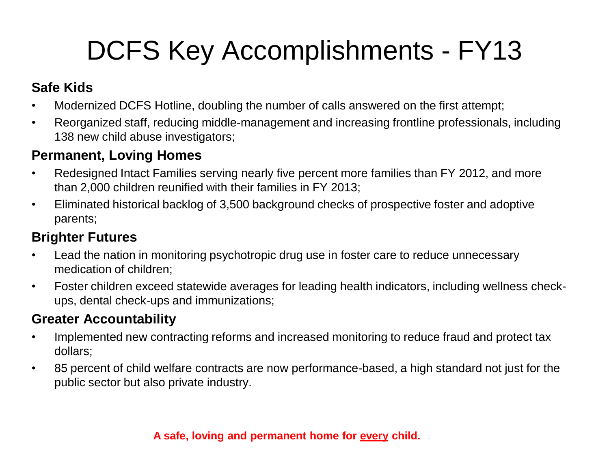# DCFS Key Accomplishments - FY13

## **Safe Kids**

- Modernized DCFS Hotline, doubling the number of calls answered on the first attempt;
- Reorganized staff, reducing middle-management and increasing frontline professionals, including 138 new child abuse investigators;

### **Permanent, Loving Homes**

- Redesigned Intact Families serving nearly five percent more families than FY 2012, and more than 2,000 children reunified with their families in FY 2013;
- Eliminated historical backlog of 3,500 background checks of prospective foster and adoptive parents;

## **Brighter Futures**

- Lead the nation in monitoring psychotropic drug use in foster care to reduce unnecessary medication of children;
- Foster children exceed statewide averages for leading health indicators, including wellness checkups, dental check-ups and immunizations;

## **Greater Accountability**

- Implemented new contracting reforms and increased monitoring to reduce fraud and protect tax dollars;
- 85 percent of child welfare contracts are now performance-based, a high standard not just for the public sector but also private industry.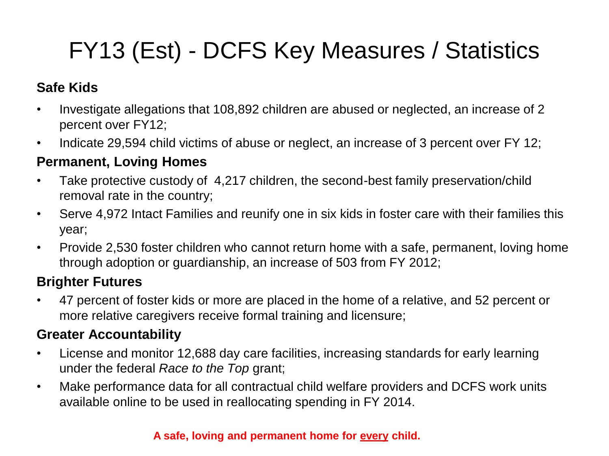## FY13 (Est) - DCFS Key Measures / Statistics

## **Safe Kids**

- Investigate allegations that 108,892 children are abused or neglected, an increase of 2 percent over FY12;
- Indicate 29,594 child victims of abuse or neglect, an increase of 3 percent over FY 12;

### **Permanent, Loving Homes**

- Take protective custody of 4,217 children, the second-best family preservation/child removal rate in the country;
- Serve 4,972 Intact Families and reunify one in six kids in foster care with their families this year;
- Provide 2,530 foster children who cannot return home with a safe, permanent, loving home through adoption or guardianship, an increase of 503 from FY 2012;

### **Brighter Futures**

• 47 percent of foster kids or more are placed in the home of a relative, and 52 percent or more relative caregivers receive formal training and licensure;

### **Greater Accountability**

- License and monitor 12,688 day care facilities, increasing standards for early learning under the federal *Race to the Top* grant;
- Make performance data for all contractual child welfare providers and DCFS work units available online to be used in reallocating spending in FY 2014.